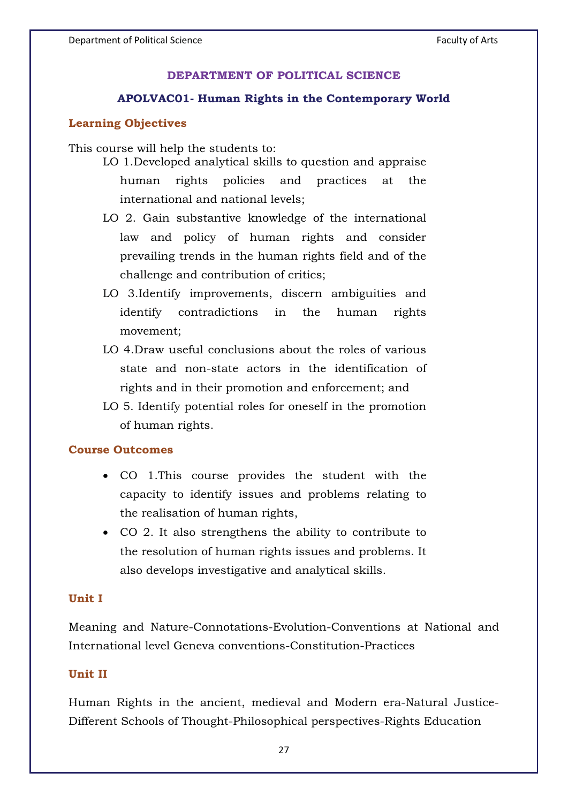### **DEPARTMENT OF POLITICAL SCIENCE**

#### **APOLVAC01- Human Rights in the Contemporary World**

### **Learning Objectives**

This course will help the students to:

- LO 1.Developed analytical skills to question and appraise human rights policies and practices at the international and national levels;
- LO 2. Gain substantive knowledge of the international law and policy of human rights and consider prevailing trends in the human rights field and of the challenge and contribution of critics;
- LO 3.Identify improvements, discern ambiguities and identify contradictions in the human rights movement;
- LO 4.Draw useful conclusions about the roles of various state and non-state actors in the identification of rights and in their promotion and enforcement; and
- LO 5. Identify potential roles for oneself in the promotion of human rights.

#### **Course Outcomes**

- CO 1.This course provides the student with the capacity to identify issues and problems relating to the realisation of human rights,
- CO 2. It also strengthens the ability to contribute to the resolution of human rights issues and problems. It also develops investigative and analytical skills.

#### **Unit I**

Meaning and Nature-Connotations-Evolution-Conventions at National and International level Geneva conventions-Constitution-Practices

### **Unit II**

Human Rights in the ancient, medieval and Modern era-Natural Justice-Different Schools of Thought-Philosophical perspectives-Rights Education